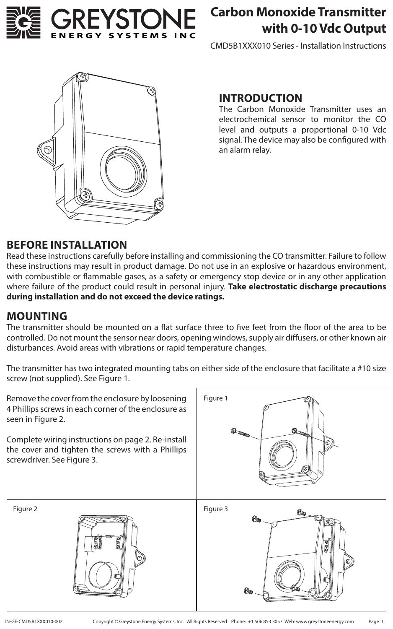

# **Carbon Monoxide Transmitter with 0-10 Vdc Output**

CMD5B1XXX010 Series - Installation Instructions



#### **INTRODUCTION**

The Carbon Monoxide Transmitter uses an electrochemical sensor to monitor the CO level and outputs a proportional 0-10 Vdc signal. The device may also be configured with an alarm relay.

### **BEFORE INSTALLATION**

Read these instructions carefully before installing and commissioning the CO transmitter. Failure to follow these instructions may result in product damage. Do not use in an explosive or hazardous environment, with combustible or flammable gases, as a safety or emergency stop device or in any other application where failure of the product could result in personal injury. **Take electrostatic discharge precautions during installation and do not exceed the device ratings.**

### **MOUNTING**

The transmitter should be mounted on a flat surface three to five feet from the floor of the area to be controlled. Do not mount the sensor near doors, opening windows, supply air diffusers, or other known air disturbances. Avoid areas with vibrations or rapid temperature changes.

The transmitter has two integrated mounting tabs on either side of the enclosure that facilitate a #10 size screw (not supplied). See Figure 1.

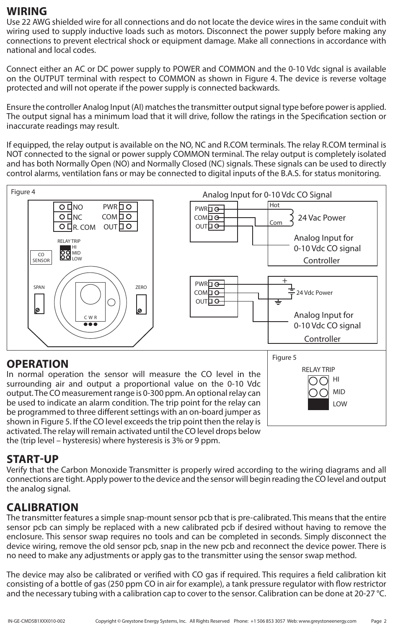### **WIRING**

Use 22 AWG shielded wire for all connections and do not locate the device wires in the same conduit with wiring used to supply inductive loads such as motors. Disconnect the power supply before making any connections to prevent electrical shock or equipment damage. Make all connections in accordance with national and local codes.

Connect either an AC or DC power supply to POWER and COMMON and the 0-10 Vdc signal is available on the OUTPUT terminal with respect to COMMON as shown in Figure 4. The device is reverse voltage protected and will not operate if the power supply is connected backwards.

Ensure the controller Analog Input (AI) matches the transmitter output signal type before power is applied. The output signal has a minimum load that it will drive, follow the ratings in the Specification section or inaccurate readings may result.

If equipped, the relay output is available on the NO, NC and R.COM terminals. The relay R.COM terminal is NOT connected to the signal or power supply COMMON terminal. The relay output is completely isolated and has both Normally Open (NO) and Normally Closed (NC) signals. These signals can be used to directly control alarms, ventilation fans or may be connected to digital inputs of the B.A.S. for status monitoring.



## **OPERATION**

In normal operation the sensor will measure the CO level in the surrounding air and output a proportional value on the 0-10 Vdc output. The CO measurement range is 0-300 ppm. An optional relay can be used to indicate an alarm condition. The trip point for the relay can be programmed to three different settings with an on-board jumper as shown in Figure 5. If the CO level exceeds the trip point then the relay is activated. The relay will remain activated until the CO level drops below the (trip level – hysteresis) where hysteresis is 3% or 9 ppm.



## **START-UP**

Verify that the Carbon Monoxide Transmitter is properly wired according to the wiring diagrams and all connections are tight. Apply power to the device and the sensor will begin reading the CO level and output the analog signal.

# **CALIBRATION**

The transmitter features a simple snap-mount sensor pcb that is pre-calibrated. This means that the entire sensor pcb can simply be replaced with a new calibrated pcb if desired without having to remove the enclosure. This sensor swap requires no tools and can be completed in seconds. Simply disconnect the device wiring, remove the old sensor pcb, snap in the new pcb and reconnect the device power. There is no need to make any adjustments or apply gas to the transmitter using the sensor swap method.

The device may also be calibrated or verified with CO gas if required. This requires a field calibration kit consisting of a bottle of gas (250 ppm CO in air for example), a tank pressure regulator with flow restrictor and the necessary tubing with a calibration cap to cover to the sensor. Calibration can be done at 20-27 °C.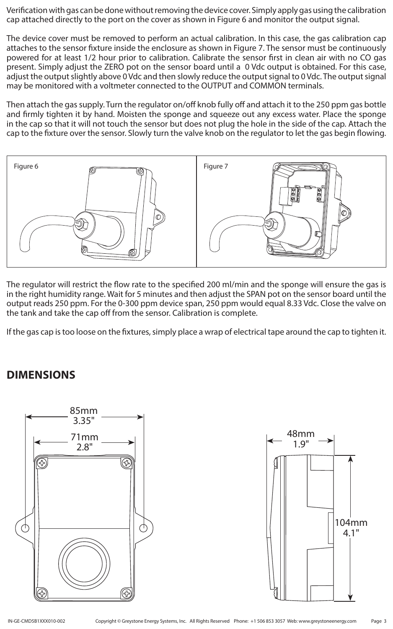Verification with gas can be done without removing the device cover. Simply apply gas using the calibration cap attached directly to the port on the cover as shown in Figure 6 and monitor the output signal.

The device cover must be removed to perform an actual calibration. In this case, the gas calibration cap attaches to the sensor fixture inside the enclosure as shown in Figure 7. The sensor must be continuously powered for at least 1/2 hour prior to calibration. Calibrate the sensor first in clean air with no CO gas present. Simply adjust the ZERO pot on the sensor board until a 0 Vdc output is obtained. For this case, adjust the output slightly above 0 Vdc and then slowly reduce the output signal to 0 Vdc. The output signal may be monitored with a voltmeter connected to the OUTPUT and COMMON terminals.

Then attach the gas supply. Turn the regulator on/off knob fully off and attach it to the 250 ppm gas bottle and firmly tighten it by hand. Moisten the sponge and squeeze out any excess water. Place the sponge in the cap so that it will not touch the sensor but does not plug the hole in the side of the cap. Attach the cap to the fixture over the sensor. Slowly turn the valve knob on the regulator to let the gas begin flowing.



The regulator will restrict the flow rate to the specified 200 ml/min and the sponge will ensure the gas is in the right humidity range. Wait for 5 minutes and then adjust the SPAN pot on the sensor board until the output reads 250 ppm. For the 0-300 ppm device span, 250 ppm would equal 8.33 Vdc. Close the valve on the tank and take the cap off from the sensor. Calibration is complete.

If the gas cap is too loose on the fixtures, simply place a wrap of electrical tape around the cap to tighten it.

## **DIMENSIONS**